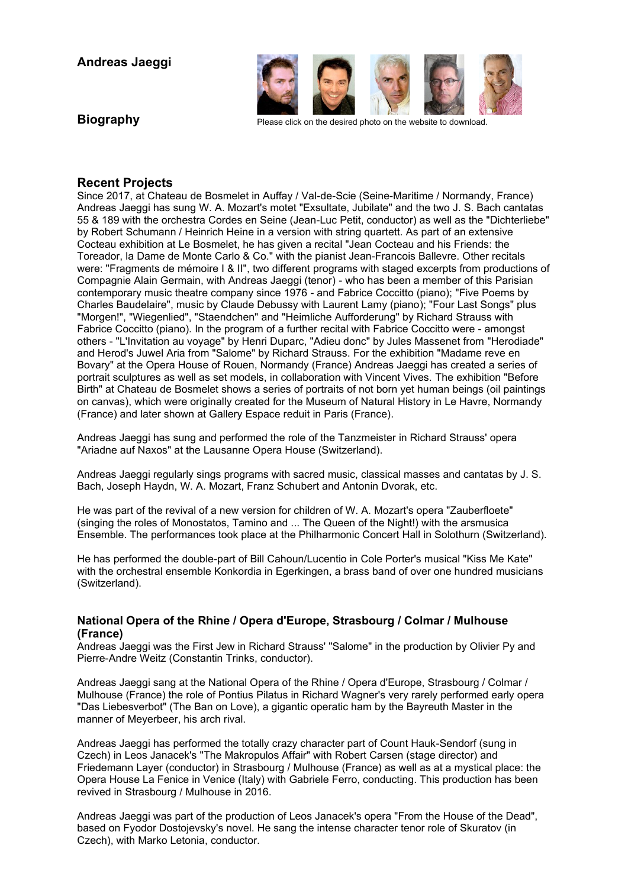

**Biography** Please click on the desired photo on the website to download.

# **Recent Projects**

Since 2017, at Chateau de Bosmelet in Auffay / Val-de-Scie (Seine-Maritime / Normandy, France) Andreas Jaeggi has sung W. A. Mozart's motet "Exsultate, Jubilate" and the two J. S. Bach cantatas 55 & 189 with the orchestra Cordes en Seine (Jean-Luc Petit, conductor) as well as the "Dichterliebe" by Robert Schumann / Heinrich Heine in a version with string quartett. As part of an extensive Cocteau exhibition at Le Bosmelet, he has given a recital "Jean Cocteau and his Friends: the Toreador, la Dame de Monte Carlo & Co." with the pianist Jean-Francois Ballevre. Other recitals were: "Fragments de mémoire I & II", two different programs with staged excerpts from productions of Compagnie Alain Germain, with Andreas Jaeggi (tenor) - who has been a member of this Parisian contemporary music theatre company since 1976 - and Fabrice Coccitto (piano); "Five Poems by Charles Baudelaire", music by Claude Debussy with Laurent Lamy (piano); "Four Last Songs" plus "Morgen!", "Wiegenlied", "Staendchen" and "Heimliche Aufforderung" by Richard Strauss with Fabrice Coccitto (piano). In the program of a further recital with Fabrice Coccitto were - amongst others - "L'Invitation au voyage" by Henri Duparc, "Adieu donc" by Jules Massenet from "Herodiade" and Herod's Juwel Aria from "Salome" by Richard Strauss. For the exhibition "Madame reve en Bovary" at the Opera House of Rouen, Normandy (France) Andreas Jaeggi has created a series of portrait sculptures as well as set models, in collaboration with Vincent Vives. The exhibition "Before Birth" at Chateau de Bosmelet shows a series of portraits of not born yet human beings (oil paintings on canvas), which were originally created for the Museum of Natural History in Le Havre, Normandy (France) and later shown at Gallery Espace reduit in Paris (France).

Andreas Jaeggi has sung and performed the role of the Tanzmeister in Richard Strauss' opera "Ariadne auf Naxos" at the Lausanne Opera House (Switzerland).

Andreas Jaeggi regularly sings programs with sacred music, classical masses and cantatas by J. S. Bach, Joseph Haydn, W. A. Mozart, Franz Schubert and Antonin Dvorak, etc.

He was part of the revival of a new version for children of W. A. Mozart's opera "Zauberfloete" (singing the roles of Monostatos, Tamino and ... The Queen of the Night!) with the arsmusica Ensemble. The performances took place at the Philharmonic Concert Hall in Solothurn (Switzerland).

He has performed the double-part of Bill Cahoun/Lucentio in Cole Porter's musical "Kiss Me Kate" with the orchestral ensemble Konkordia in Egerkingen, a brass band of over one hundred musicians (Switzerland).

## **National Opera of the Rhine / Opera d'Europe, Strasbourg / Colmar / Mulhouse (France)**

Andreas Jaeggi was the First Jew in Richard Strauss' "Salome" in the production by Olivier Py and Pierre-Andre Weitz (Constantin Trinks, conductor).

Andreas Jaeggi sang at the National Opera of the Rhine / Opera d'Europe, Strasbourg / Colmar / Mulhouse (France) the role of Pontius Pilatus in Richard Wagner's very rarely performed early opera "Das Liebesverbot" (The Ban on Love), a gigantic operatic ham by the Bayreuth Master in the manner of Meyerbeer, his arch rival.

Andreas Jaeggi has performed the totally crazy character part of Count Hauk-Sendorf (sung in Czech) in Leos Janacek's "The Makropulos Affair" with Robert Carsen (stage director) and Friedemann Layer (conductor) in Strasbourg / Mulhouse (France) as well as at a mystical place: the Opera House La Fenice in Venice (Italy) with Gabriele Ferro, conducting. This production has been revived in Strasbourg / Mulhouse in 2016.

Andreas Jaeggi was part of the production of Leos Janacek's opera "From the House of the Dead", based on Fyodor Dostojevsky's novel. He sang the intense character tenor role of Skuratov (in Czech), with Marko Letonia, conductor.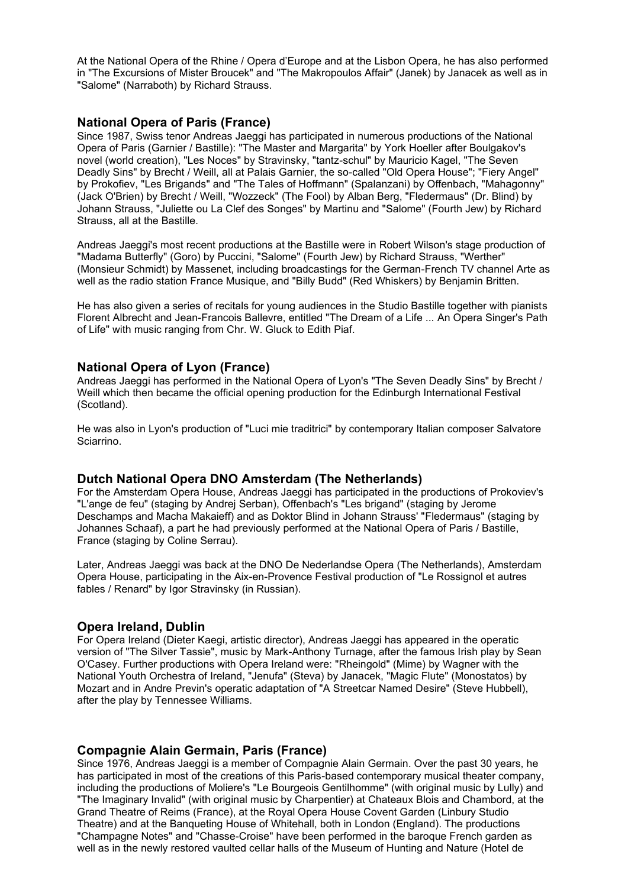At the National Opera of the Rhine / Opera d'Europe and at the Lisbon Opera, he has also performed in "The Excursions of Mister Broucek" and "The Makropoulos Affair" (Janek) by Janacek as well as in "Salome" (Narraboth) by Richard Strauss.

# **National Opera of Paris (France)**

Since 1987, Swiss tenor Andreas Jaeggi has participated in numerous productions of the National Opera of Paris (Garnier / Bastille): "The Master and Margarita" by York Hoeller after Boulgakov's novel (world creation), "Les Noces" by Stravinsky, "tantz-schul" by Mauricio Kagel, "The Seven Deadly Sins" by Brecht / Weill, all at Palais Garnier, the so-called "Old Opera House"; "Fiery Angel" by Prokofiev, "Les Brigands" and "The Tales of Hoffmann" (Spalanzani) by Offenbach, "Mahagonny" (Jack O'Brien) by Brecht / Weill, "Wozzeck" (The Fool) by Alban Berg, "Fledermaus" (Dr. Blind) by Johann Strauss, "Juliette ou La Clef des Songes" by Martinu and "Salome" (Fourth Jew) by Richard Strauss, all at the Bastille.

Andreas Jaeggi's most recent productions at the Bastille were in Robert Wilson's stage production of "Madama Butterfly" (Goro) by Puccini, "Salome" (Fourth Jew) by Richard Strauss, "Werther" (Monsieur Schmidt) by Massenet, including broadcastings for the German-French TV channel Arte as well as the radio station France Musique, and "Billy Budd" (Red Whiskers) by Benjamin Britten.

He has also given a series of recitals for young audiences in the Studio Bastille together with pianists Florent Albrecht and Jean-Francois Ballevre, entitled "The Dream of a Life ... An Opera Singer's Path of Life" with music ranging from Chr. W. Gluck to Edith Piaf.

## **National Opera of Lyon (France)**

Andreas Jaeggi has performed in the National Opera of Lyon's "The Seven Deadly Sins" by Brecht / Weill which then became the official opening production for the Edinburgh International Festival (Scotland).

He was also in Lyon's production of "Luci mie traditrici" by contemporary Italian composer Salvatore Sciarrino.

#### **Dutch National Opera DNO Amsterdam (The Netherlands)**

For the Amsterdam Opera House, Andreas Jaeggi has participated in the productions of Prokoviev's "L'ange de feu" (staging by Andrej Serban), Offenbach's "Les brigand" (staging by Jerome Deschamps and Macha Makaieff) and as Doktor Blind in Johann Strauss' "Fledermaus" (staging by Johannes Schaaf), a part he had previously performed at the National Opera of Paris / Bastille, France (staging by Coline Serrau).

Later, Andreas Jaeggi was back at the DNO De Nederlandse Opera (The Netherlands), Amsterdam Opera House, participating in the Aix-en-Provence Festival production of "Le Rossignol et autres fables / Renard" by Igor Stravinsky (in Russian).

#### **Opera Ireland, Dublin**

For Opera Ireland (Dieter Kaegi, artistic director), Andreas Jaeggi has appeared in the operatic version of "The Silver Tassie", music by Mark-Anthony Turnage, after the famous Irish play by Sean O'Casey. Further productions with Opera Ireland were: "Rheingold" (Mime) by Wagner with the National Youth Orchestra of Ireland, "Jenufa" (Steva) by Janacek, "Magic Flute" (Monostatos) by Mozart and in Andre Previn's operatic adaptation of "A Streetcar Named Desire" (Steve Hubbell), after the play by Tennessee Williams.

#### **Compagnie Alain Germain, Paris (France)**

Since 1976, Andreas Jaeggi is a member of Compagnie Alain Germain. Over the past 30 years, he has participated in most of the creations of this Paris-based contemporary musical theater company, including the productions of Moliere's "Le Bourgeois Gentilhomme" (with original music by Lully) and "The Imaginary Invalid" (with original music by Charpentier) at Chateaux Blois and Chambord, at the Grand Theatre of Reims (France), at the Royal Opera House Covent Garden (Linbury Studio Theatre) and at the Banqueting House of Whitehall, both in London (England). The productions "Champagne Notes" and "Chasse-Croise" have been performed in the baroque French garden as well as in the newly restored vaulted cellar halls of the Museum of Hunting and Nature (Hotel de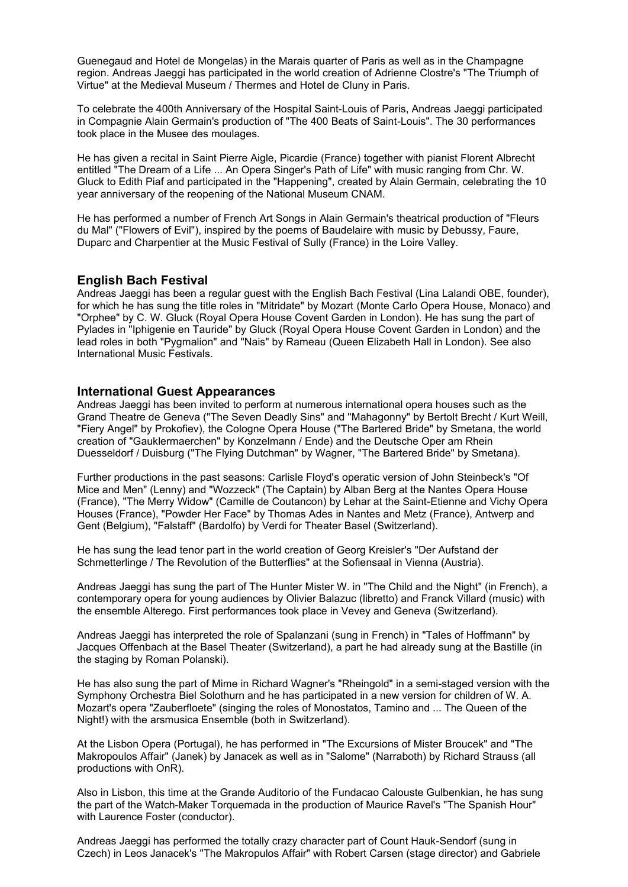Guenegaud and Hotel de Mongelas) in the Marais quarter of Paris as well as in the Champagne region. Andreas Jaeggi has participated in the world creation of Adrienne Clostre's "The Triumph of Virtue" at the Medieval Museum / Thermes and Hotel de Cluny in Paris.

To celebrate the 400th Anniversary of the Hospital Saint-Louis of Paris, Andreas Jaeggi participated in Compagnie Alain Germain's production of "The 400 Beats of Saint-Louis". The 30 performances took place in the Musee des moulages.

He has given a recital in Saint Pierre Aigle, Picardie (France) together with pianist Florent Albrecht entitled "The Dream of a Life ... An Opera Singer's Path of Life" with music ranging from Chr. W. Gluck to Edith Piaf and participated in the "Happening", created by Alain Germain, celebrating the 10 year anniversary of the reopening of the National Museum CNAM.

He has performed a number of French Art Songs in Alain Germain's theatrical production of "Fleurs du Mal" ("Flowers of Evil"), inspired by the poems of Baudelaire with music by Debussy, Faure, Duparc and Charpentier at the Music Festival of Sully (France) in the Loire Valley.

## **English Bach Festival**

Andreas Jaeggi has been a regular guest with the English Bach Festival (Lina Lalandi OBE, founder), for which he has sung the title roles in "Mitridate" by Mozart (Monte Carlo Opera House, Monaco) and "Orphee" by C. W. Gluck (Royal Opera House Covent Garden in London). He has sung the part of Pylades in "Iphigenie en Tauride" by Gluck (Royal Opera House Covent Garden in London) and the lead roles in both "Pygmalion" and "Nais" by Rameau (Queen Elizabeth Hall in London). See also International Music Festivals.

#### **International Guest Appearances**

Andreas Jaeggi has been invited to perform at numerous international opera houses such as the Grand Theatre de Geneva ("The Seven Deadly Sins" and "Mahagonny" by Bertolt Brecht / Kurt Weill, "Fiery Angel" by Prokofiev), the Cologne Opera House ("The Bartered Bride" by Smetana, the world creation of "Gauklermaerchen" by Konzelmann / Ende) and the Deutsche Oper am Rhein Duesseldorf / Duisburg ("The Flying Dutchman" by Wagner, "The Bartered Bride" by Smetana).

Further productions in the past seasons: Carlisle Floyd's operatic version of John Steinbeck's "Of Mice and Men" (Lenny) and "Wozzeck" (The Captain) by Alban Berg at the Nantes Opera House (France), "The Merry Widow" (Camille de Coutancon) by Lehar at the Saint-Etienne and Vichy Opera Houses (France), "Powder Her Face" by Thomas Ades in Nantes and Metz (France), Antwerp and Gent (Belgium), "Falstaff" (Bardolfo) by Verdi for Theater Basel (Switzerland).

He has sung the lead tenor part in the world creation of Georg Kreisler's "Der Aufstand der Schmetterlinge / The Revolution of the Butterflies" at the Sofiensaal in Vienna (Austria).

Andreas Jaeggi has sung the part of The Hunter Mister W. in "The Child and the Night" (in French), a contemporary opera for young audiences by Olivier Balazuc (libretto) and Franck Villard (music) with the ensemble Alterego. First performances took place in Vevey and Geneva (Switzerland).

Andreas Jaeggi has interpreted the role of Spalanzani (sung in French) in "Tales of Hoffmann" by Jacques Offenbach at the Basel Theater (Switzerland), a part he had already sung at the Bastille (in the staging by Roman Polanski).

He has also sung the part of Mime in Richard Wagner's "Rheingold" in a semi-staged version with the Symphony Orchestra Biel Solothurn and he has participated in a new version for children of W. A. Mozart's opera "Zauberfloete" (singing the roles of Monostatos, Tamino and ... The Queen of the Night!) with the arsmusica Ensemble (both in Switzerland).

At the Lisbon Opera (Portugal), he has performed in "The Excursions of Mister Broucek" and "The Makropoulos Affair" (Janek) by Janacek as well as in "Salome" (Narraboth) by Richard Strauss (all productions with OnR).

Also in Lisbon, this time at the Grande Auditorio of the Fundacao Calouste Gulbenkian, he has sung the part of the Watch-Maker Torquemada in the production of Maurice Ravel's "The Spanish Hour" with Laurence Foster (conductor).

Andreas Jaeggi has performed the totally crazy character part of Count Hauk-Sendorf (sung in Czech) in Leos Janacek's "The Makropulos Affair" with Robert Carsen (stage director) and Gabriele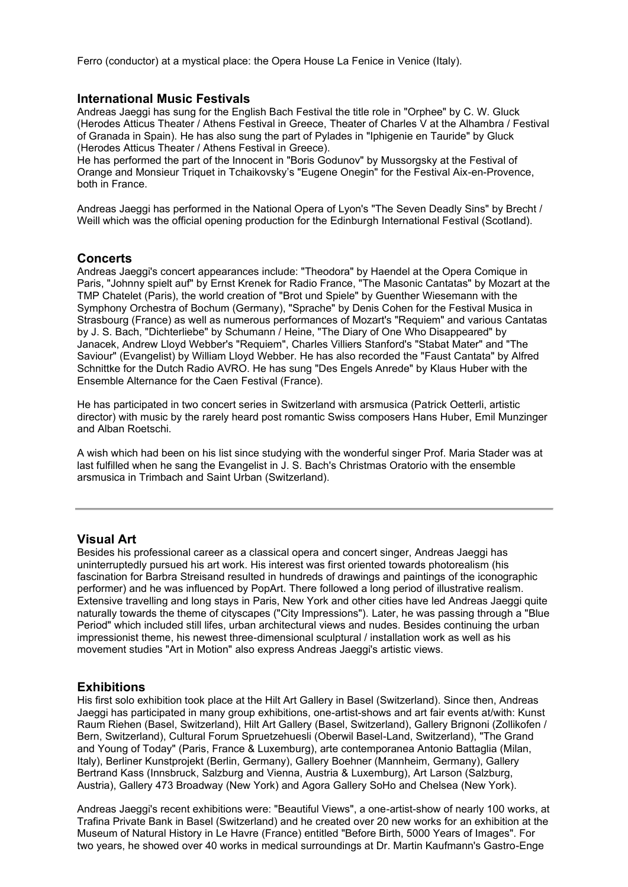Ferro (conductor) at a mystical place: the Opera House La Fenice in Venice (Italy).

## **International Music Festivals**

Andreas Jaeggi has sung for the English Bach Festival the title role in "Orphee" by C. W. Gluck (Herodes Atticus Theater / Athens Festival in Greece, Theater of Charles V at the Alhambra / Festival of Granada in Spain). He has also sung the part of Pylades in "Iphigenie en Tauride" by Gluck (Herodes Atticus Theater / Athens Festival in Greece).

He has performed the part of the Innocent in "Boris Godunov" by Mussorgsky at the Festival of Orange and Monsieur Triquet in Tchaikovsky's "Eugene Onegin" for the Festival Aix-en-Provence, both in France.

Andreas Jaeggi has performed in the National Opera of Lyon's "The Seven Deadly Sins" by Brecht / Weill which was the official opening production for the Edinburgh International Festival (Scotland).

# **Concerts**

Andreas Jaeggi's concert appearances include: "Theodora" by Haendel at the Opera Comique in Paris, "Johnny spielt auf" by Ernst Krenek for Radio France, "The Masonic Cantatas" by Mozart at the TMP Chatelet (Paris), the world creation of "Brot und Spiele" by Guenther Wiesemann with the Symphony Orchestra of Bochum (Germany), "Sprache" by Denis Cohen for the Festival Musica in Strasbourg (France) as well as numerous performances of Mozart's "Requiem" and various Cantatas by J. S. Bach, "Dichterliebe" by Schumann / Heine, "The Diary of One Who Disappeared" by Janacek, Andrew Lloyd Webber's "Requiem", Charles Villiers Stanford's "Stabat Mater" and "The Saviour" (Evangelist) by William Lloyd Webber. He has also recorded the "Faust Cantata" by Alfred Schnittke for the Dutch Radio AVRO. He has sung "Des Engels Anrede" by Klaus Huber with the Ensemble Alternance for the Caen Festival (France).

He has participated in two concert series in Switzerland with arsmusica (Patrick Oetterli, artistic director) with music by the rarely heard post romantic Swiss composers Hans Huber, Emil Munzinger and Alban Roetschi.

A wish which had been on his list since studying with the wonderful singer Prof. Maria Stader was at last fulfilled when he sang the Evangelist in J. S. Bach's Christmas Oratorio with the ensemble arsmusica in Trimbach and Saint Urban (Switzerland).

#### **Visual Art**

Besides his professional career as a classical opera and concert singer, Andreas Jaeggi has uninterruptedly pursued his art work. His interest was first oriented towards photorealism (his fascination for Barbra Streisand resulted in hundreds of drawings and paintings of the iconographic performer) and he was influenced by PopArt. There followed a long period of illustrative realism. Extensive travelling and long stays in Paris, New York and other cities have led Andreas Jaeggi quite naturally towards the theme of cityscapes ("City Impressions"). Later, he was passing through a "Blue Period" which included still lifes, urban architectural views and nudes. Besides continuing the urban impressionist theme, his newest three-dimensional sculptural / installation work as well as his movement studies "Art in Motion" also express Andreas Jaeggi's artistic views.

#### **Exhibitions**

His first solo exhibition took place at the Hilt Art Gallery in Basel (Switzerland). Since then, Andreas Jaeggi has participated in many group exhibitions, one-artist-shows and art fair events at/with: Kunst Raum Riehen (Basel, Switzerland), Hilt Art Gallery (Basel, Switzerland), Gallery Brignoni (Zollikofen / Bern, Switzerland), Cultural Forum Spruetzehuesli (Oberwil Basel-Land, Switzerland), "The Grand and Young of Today" (Paris, France & Luxemburg), arte contemporanea Antonio Battaglia (Milan, Italy), Berliner Kunstprojekt (Berlin, Germany), Gallery Boehner (Mannheim, Germany), Gallery Bertrand Kass (Innsbruck, Salzburg and Vienna, Austria & Luxemburg), Art Larson (Salzburg, Austria), Gallery 473 Broadway (New York) and Agora Gallery SoHo and Chelsea (New York).

Andreas Jaeggi's recent exhibitions were: "Beautiful Views", a one-artist-show of nearly 100 works, at Trafina Private Bank in Basel (Switzerland) and he created over 20 new works for an exhibition at the Museum of Natural History in Le Havre (France) entitled "Before Birth, 5000 Years of Images". For two years, he showed over 40 works in medical surroundings at Dr. Martin Kaufmann's Gastro-Enge